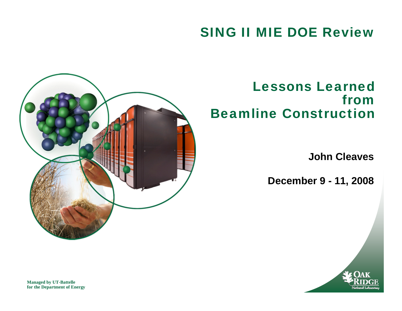#### SING II MIE DOE Review



#### Lessons Learned from Beamline Construction

**John Cleaves**

**December 9 - 11, 2008**



**Managed by UT-Battelle for the Department of Energy**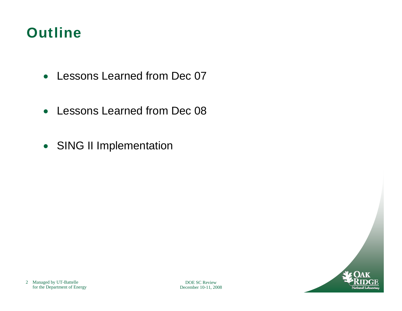#### **Outline**

- Lessons Learned from Dec 07
- Lessons Learned from Dec 08
- SING II Implementation

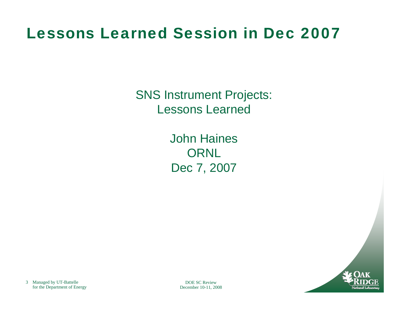## Lessons Learned Session in Dec 2007

SNS Instrument Projects: Lessons Learned

> John HainesORNL Dec 7, 2007



DOE SC ReviewDecember 10-11, 2008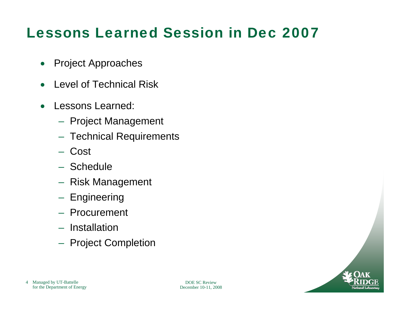## Lessons Learned Session in Dec 2007

- $\bullet$ Project Approaches
- •Level of Technical Risk
- $\bullet$  Lessons Learned:
	- Project Management
	- $-$  Technical Requirements
	- Cost
	- Schedule
	- Risk Management
	- Engineering
	- Procurement
	- Installation
	- $-$  Project Completion

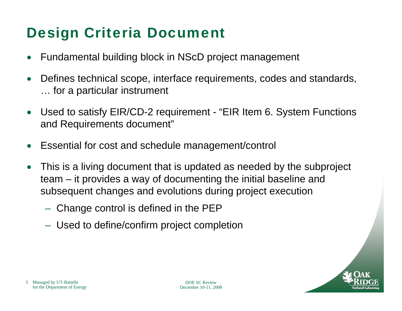## Design Criteria Document

- •Fundamental building block in NScD project management
- • Defines technical scope, interface requirements, codes and standards, … for a particular instrument
- • Used to satisfy EIR/CD-2 requirement - "EIR Item 6. System Functions and Requirements document"
- •Essential for cost and schedule management/control
- • This is a living document that is updated as needed by the subproject team – it provides a way of documenting the initial baseline and subsequent changes and evolutions during project execution
	- $-$  Change control is defined in the PEP  $\,$
	- Used to define/confirm project completion

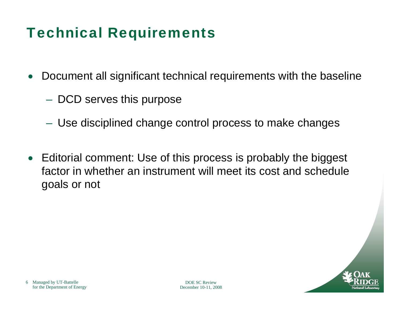## Technical Requirements

- $\bullet$  Document all significant technical requirements with the baseline
	- $-$  DCD serves this purpose
	- Use disciplined change control process to make changes
- $\bullet$  Editorial comment: Use of this process is probably the biggest factor in whether an instrument will meet its cost and schedule goals or not

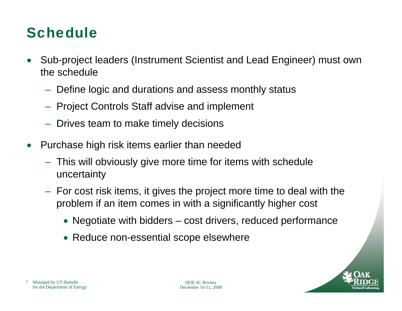### **Schedule**

- • Sub-project leaders (Instrument Scientist and Lead Engineer) must own the schedule
	- $-$  Define logic and durations and assess monthly status
	- $-$  Project Controls Staff advise and implement
	- $-$  Drives team to make timely decisions
- $\bullet$  Purchase high risk items earlier than needed
	- This will obviously give more time for items with schedule uncertainty
	- $-$  For cost risk items, it gives the project more time to deal with the  $\,$ problem if an item comes in with a significantly higher cost
		- Negotiate with bidders cost drivers, reduced performance
		- Reduce non-essential scope elsewhere

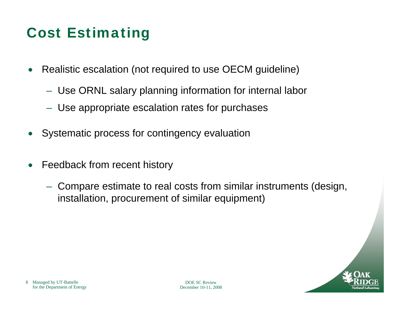## Cost Estimating

- $\bullet$  Realistic escalation (not required to use OECM guideline)
	- Use ORNL salary planning information for internal labor
	- Use appropriate escalation rates for purchases
- $\bullet$ Systematic process for contingency evaluation
- $\bullet$  Feedback from recent history
	- Compare estimate to real costs from similar instruments (design, installation, procurement of similar equipment)

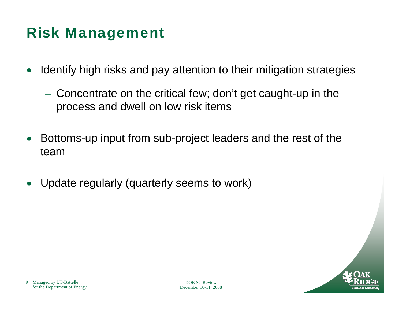#### Risk Management

- • Identify high risks and pay attention to their mitigation strategies
	- $\mathcal{L}_{\mathcal{A}}$  , the state of the state of the state of the state of the state of the state of the state of the state of the state of the state of the state of the state of the state of the state of the state of the state Concentrate on the critical few; don't get caught-up in the process and dwell on low risk items
- • Bottoms-up input from sub-project leaders and the rest of the team
- •Update regularly (quarterly seems to work)

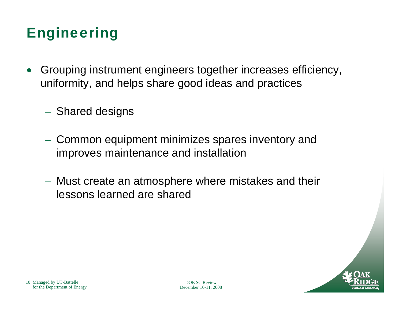## Engineering

- • Grouping instrument engineers together increases efficiency, uniformity, and helps share good ideas and practices
	- $\mathcal{L}_{\mathcal{A}}$  , the state of the state of the state of the state of the state of the state of the state of the state of the state of the state of the state of the state of the state of the state of the state of the state  $-$  Shared designs
	- – Common equipment minimizes spares inventory and improves maintenance and installation
	- $\mathcal{L}_{\mathcal{A}}$  , the state of the state of the state of the state of the state of the state of the state of the state of the state of the state of the state of the state of the state of the state of the state of the state Must create an atmosphere where mistakes and their lessons learned are shared

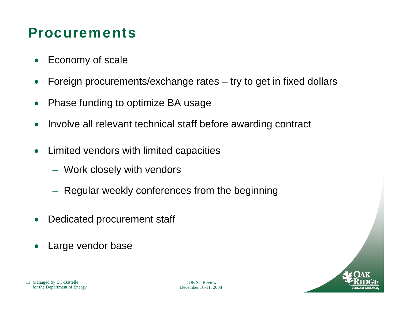#### Procurements

- $\bullet$ Economy of scale
- $\bullet$ Foreign procurements/exchange rates – try to get in fixed dollars
- $\bullet$ Phase funding to optimize BA usage
- •Involve all relevant technical staff before awarding contract
- $\bullet$  Limited vendors with limited capacities
	- Work closely with vendors
	- $-$  Regular weekly conferences from the beginning
- •Dedicated procurement staff
- •Large vendor base

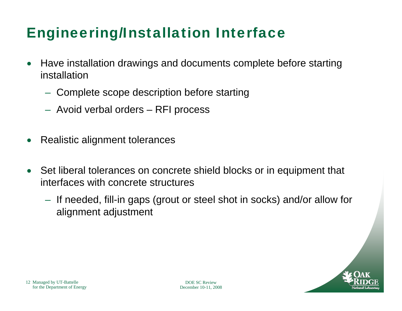## Engineering/Installation Interface

- • Have installation drawings and documents complete before starting installation
	- $-$  Complete scope description before starting
	- $-$  Avoid verbal orders RFI process
- •Realistic alignment tolerances
- • Set liberal tolerances on concrete shield blocks or in equipment that interfaces with concrete structures
	- $-$  If needed, fill-in gaps (grout or steel shot in socks) and/or allow for alignment adjustment

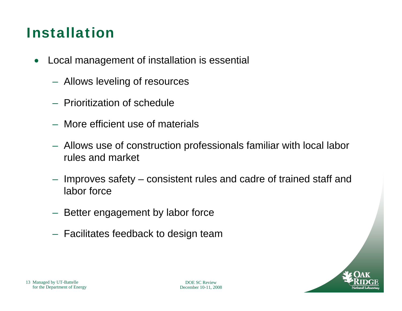### Installation

- $\bullet$  Local management of installation is essential
	- Allows leveling of resources
	- Prioritization of schedule
	- More efficient use of materials
	- Allows use of construction professionals familiar with local labor rules and market
	- Improves safety consistent rules and cadre of trained staff and labor force
	- $-$  Better engagement by labor force
	- $-$  Facilitates feedback to design team

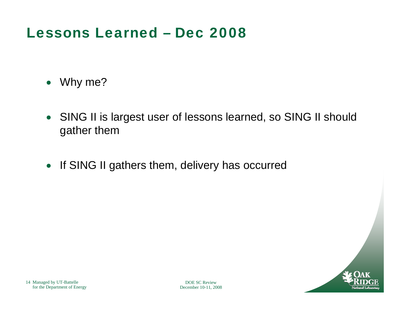#### Lessons Learned – Dec 2008

- Why me?
- SING II is largest user of lessons learned, so SING II should gather them
- If SING II gathers them, delivery has occurred

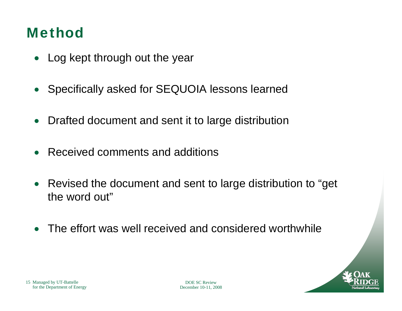### Method

- •Log kept through out the year
- •Specifically asked for SEQUOIA lessons learned
- •Drafted document and sent it to large distribution
- $\bullet$ Received comments and additions
- • Revised the document and sent to large distribution to "get the word out"
- $\bullet$ The effort was well received and considered worthwhile

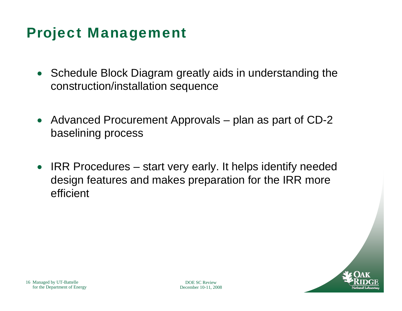#### Project Management

- Schedule Block Diagram greatly aids in understanding the construction/installation sequence
- Advanced Procurement Approvals plan as part of CD-2 baselining process
- • IRR Procedures – start very early. It helps identify needed design features and makes preparation for the IRR more efficient

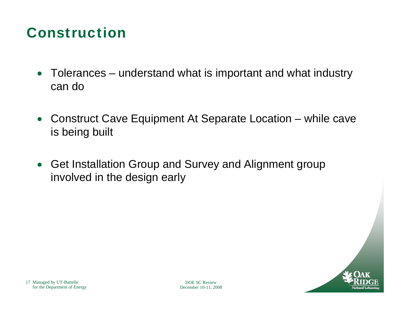#### Construction

- Tolerances understand what is important and what industry can do
- Construct Cave Equipment At Separate Location while cave is being built
- Get Installation Group and Survey and Alignment group involved in the design early

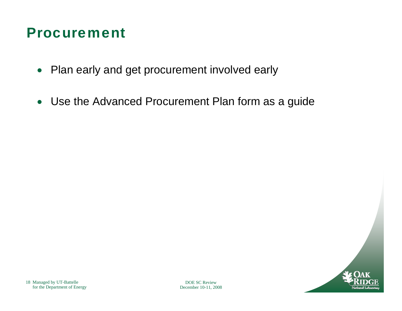#### Procurement

- Plan early and get procurement involved early
- Use the Advanced Procurement Plan form as a guide

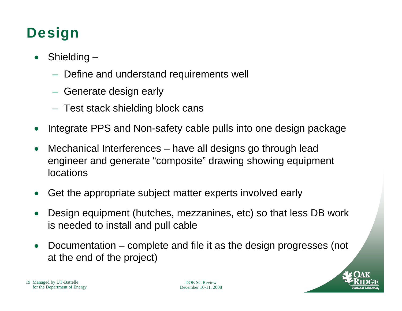# Design

- $\bullet$  Shielding –
	- $-$  Define and understand requirements well
	- $-$  Generate design early
	- $-$  Test stack shielding block cans
- $\bullet$ Integrate PPS and Non-safety cable pulls into one design package
- • Mechanical Interferences – have all designs go through lead engineer and generate "composite" drawing showing equipment locations
- •Get the appropriate subject matter experts involved early
- • Design equipment (hutches, mezzanines, etc) so that less DB work is needed to install and pull cable
- $\bullet$  Documentation – complete and file it as the design progresses (not at the end of the project)



19 Managed by UT-Battelle for the Department of Energy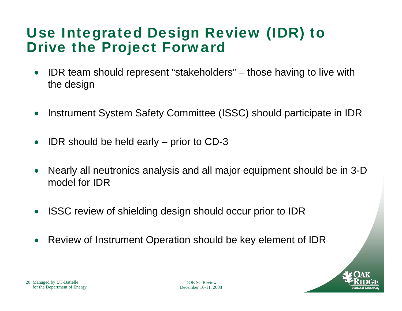#### Use Integrated Design Review (IDR) to Drive the Project Forward

- $\bullet$  IDR team should represent "stakeholders" – those having to live with the design
- $\bullet$ Instrument System Safety Committee (ISSC) should participate in IDR
- •IDR should be held early – prior to CD-3
- $\bullet$  Nearly all neutronics analysis and all major equipment should be in 3-D model for IDR
- $\bullet$ ISSC review of shielding design should occur prior to IDR
- •Review of Instrument Operation should be key element of IDR



20 Managed by UT-Battelle for the Department of Energy

DOE SC ReviewDecember 10-11, 2008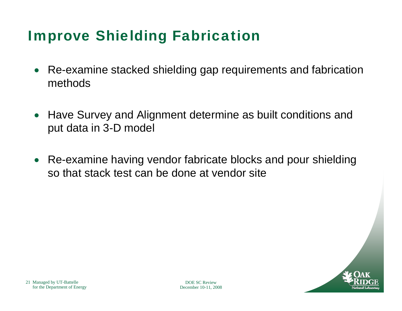### Improve Shielding Fabrication

- $\bullet$  Re-examine stacked shielding gap requirements and fabrication methods
- Have Survey and Alignment determine as built conditions and put data in 3-D model
- $\bullet$  Re-examine having vendor fabricate blocks and pour shielding so that stack test can be done at vendor site

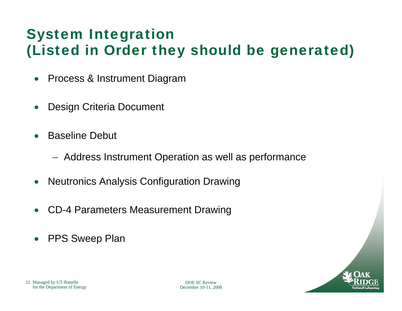## System Integration (Listed in Order they should be generated)

- $\bullet$ Process & Instrument Diagram
- •Design Criteria Document
- • Baseline Debut
	- $-$  Address Instrument Operation as well as performance
- $\bullet$ Neutronics Analysis Configuration Drawing
- •CD-4 Parameters Measurement Drawing
- $\bullet$ PPS Sweep Plan

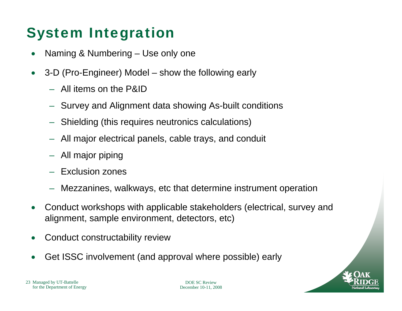## System Integration

- •Naming & Numbering – Use only one
- $\bullet$  3-D (Pro-Engineer) Model – show the following early
	- All items on the P&ID
	- Survey and Alignment data showing As-built conditions
	- Shielding (this requires neutronics calculations)
	- All major electrical panels, cable trays, and conduit
	- All major piping
	- Exclusion zones
	- Mezzanines, walkways, etc that determine instrument operation
- • Conduct workshops with applicable stakeholders (electrical, survey and alignment, sample environment, detectors, etc)
- •Conduct constructability review
- •Get ISSC involvement (and approval where possible) early

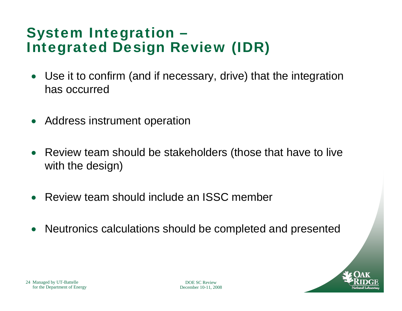#### System Integration – Integrated Design Review (IDR)

- • Use it to confirm (and if necessary, drive) that the integration has occurred
- •Address instrument operation
- • Review team should be stakeholders (those that have to live with the design)
- •Review team should include an ISSC member
- •Neutronics calculations should be completed and presented



24 Managed by UT-Battelle for the Department of Energy

DOE SC ReviewDecember 10-11, 2008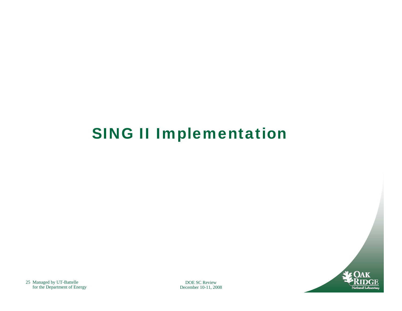

DOE SC ReviewDecember 10-11, 2008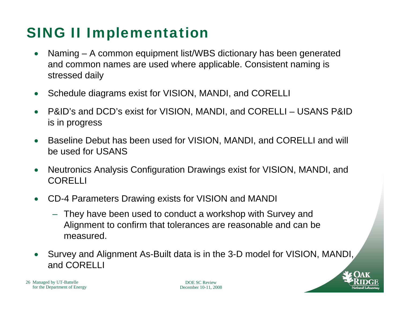- $\bullet$  Naming – A common equipment list/WBS dictionary has been generated and common names are used where applicable. Consistent naming is stressed daily
- $\bullet$ Schedule diagrams exist for VISION, MANDI, and CORELLI
- $\bullet$  P&ID's and DCD's exist for VISION, MANDI, and CORELLI – USANS P&ID is in progress
- $\bullet$  Baseline Debut has been used for VISION, MANDI, and CORELLI and will be used for USANS
- $\bullet$  Neutronics Analysis Configuration Drawings exist for VISION, MANDI, and CORELLI
- $\bullet$  CD-4 Parameters Drawing exists for VISION and MANDI
	- They have been used to conduct a workshop with Survey and Alignment to confirm that tolerances are reasonable and can be measured.
- $\bullet$  Survey and Alignment As-Built data is in the 3-D model for VISION, MANDI, and CORELLI

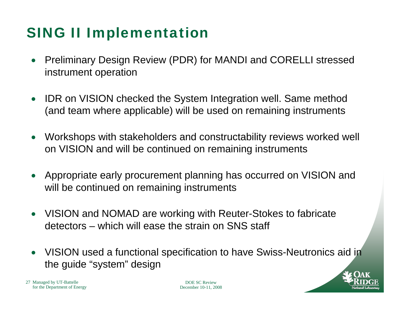- • Preliminary Design Review (PDR) for MANDI and CORELLI stressed instrument operation
- • IDR on VISION checked the System Integration well. Same method (and team where applicable) will be used on remaining instruments
- • Workshops with stakeholders and constructability reviews worked well on VISION and will be continued on remaining instruments
- • Appropriate early procurement planning has occurred on VISION and will be continued on remaining instruments
- VISION and NOMAD are working with Reuter-Stokes to fabricate detectors – which will ease the strain on SNS staff
- • VISION used a functional specification to have Swiss-Neutronics aid in the guide "system" design

27 Managed by UT-Battelle for the Department of Energy

DOE SC ReviewDecember 10-11, 2008

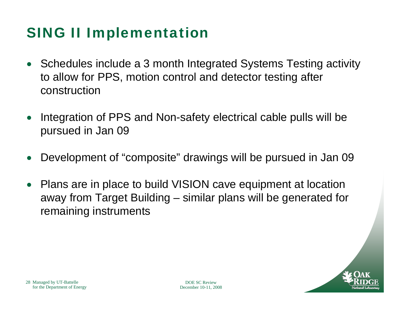- Schedules include a 3 month Integrated Systems Testing activity to allow for PPS, motion control and detector testing after construction
- • Integration of PPS and Non-safety electrical cable pulls will be pursued in Jan 09
- •Development of "composite" drawings will be pursued in Jan 09
- • Plans are in place to build VISION cave equipment at location away from Target Building – similar plans will be generated for remaining instruments